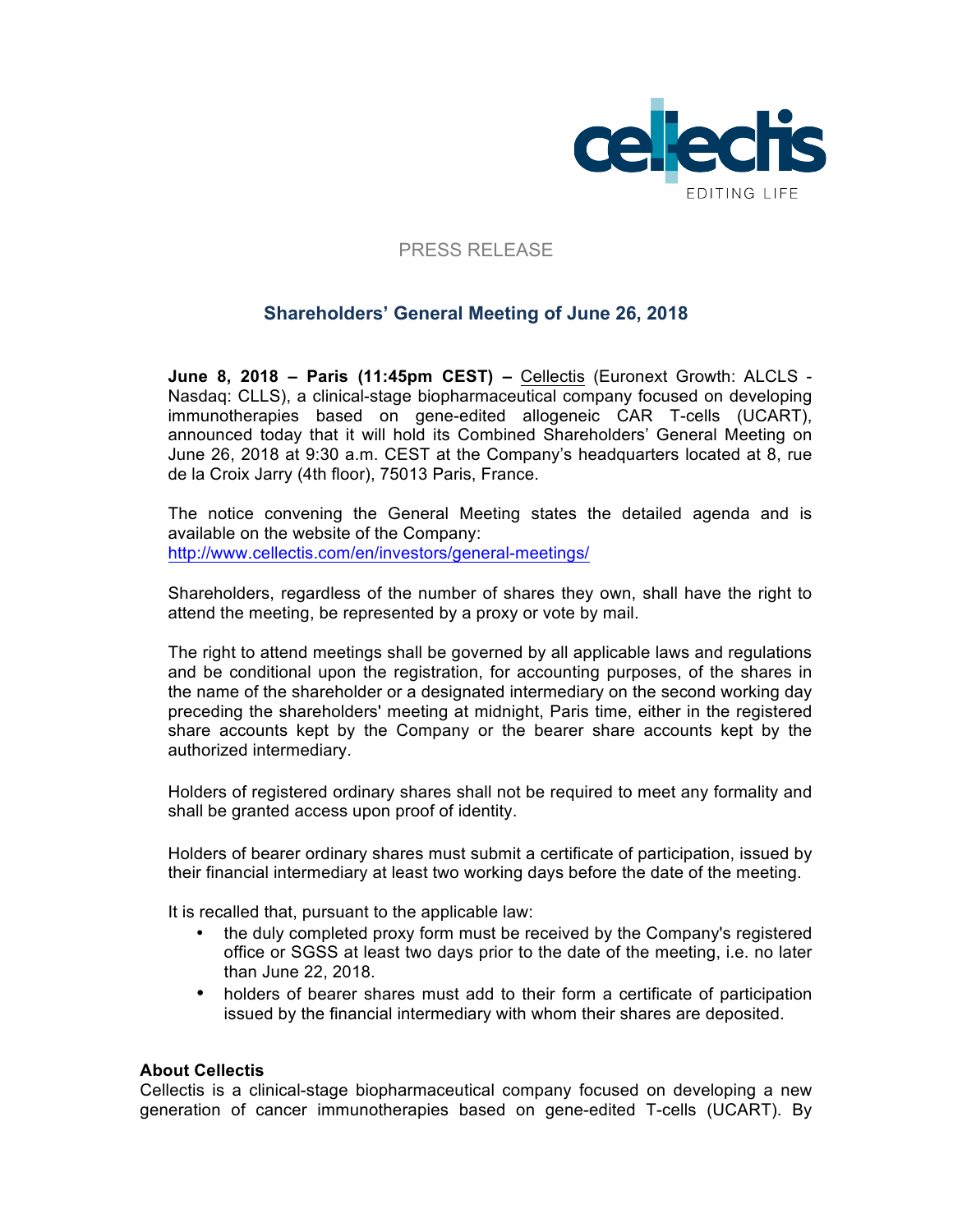

## PRESS RELEASE

# **Shareholders' General Meeting of June 26, 2018**

**June 8, 2018 – Paris (11:45pm CEST) –** Cellectis (Euronext Growth: ALCLS - Nasdaq: CLLS), a clinical-stage biopharmaceutical company focused on developing immunotherapies based on gene-edited allogeneic CAR T-cells (UCART), announced today that it will hold its Combined Shareholders' General Meeting on June 26, 2018 at 9:30 a.m. CEST at the Company's headquarters located at 8, rue de la Croix Jarry (4th floor), 75013 Paris, France.

The notice convening the General Meeting states the detailed agenda and is available on the website of the Company: http://www.cellectis.com/en/investors/general-meetings/

Shareholders, regardless of the number of shares they own, shall have the right to attend the meeting, be represented by a proxy or vote by mail.

The right to attend meetings shall be governed by all applicable laws and regulations and be conditional upon the registration, for accounting purposes, of the shares in the name of the shareholder or a designated intermediary on the second working day preceding the shareholders' meeting at midnight, Paris time, either in the registered share accounts kept by the Company or the bearer share accounts kept by the authorized intermediary.

Holders of registered ordinary shares shall not be required to meet any formality and shall be granted access upon proof of identity.

Holders of bearer ordinary shares must submit a certificate of participation, issued by their financial intermediary at least two working days before the date of the meeting.

It is recalled that, pursuant to the applicable law:

- the duly completed proxy form must be received by the Company's registered office or SGSS at least two days prior to the date of the meeting, i.e. no later than June 22, 2018.
- holders of bearer shares must add to their form a certificate of participation issued by the financial intermediary with whom their shares are deposited.

### **About Cellectis**

Cellectis is a clinical-stage biopharmaceutical company focused on developing a new generation of cancer immunotherapies based on gene-edited T-cells (UCART). By